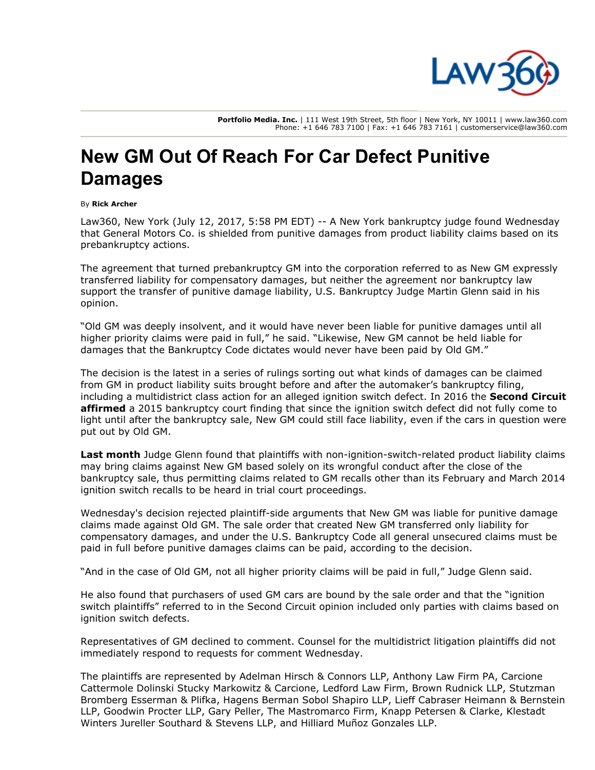

Portfolio Media. Inc. | 111 West 19th Street, 5th floor | New York, NY 10011 | www.law360.com Phone: +1 646 783 7100 | Fax: +1 646 783 7161 | customerservice@law360.com

## New GM Out Of Reach For Car Defect Punitive Damages

## By Rick Archer

Law360, New York (July 12, 2017, 5:58 PM EDT) -- A New York bankruptcy judge found Wednesday that [General Motors Co.](https://www.law360.com/companies/general-motors) is shielded from punitive damages from product liability claims based on its prebankruptcy actions.

The agreement that turned prebankruptcy GM into the corporation referred to as New GM expressly transferred liability for compensatory damages, but neither the agreement nor bankruptcy law support the transfer of punitive damage liability, U.S. Bankruptcy Judge Martin Glenn said in his opinion.

"Old GM was deeply insolvent, and it would have never been liable for punitive damages until all higher priority claims were paid in full," he said. "Likewise, New GM cannot be held liable for damages that the Bankruptcy Code dictates would never have been paid by Old GM."

The decision is the latest in a series of rulings sorting out what kinds of damages can be claimed from GM in product liability suits brought before and after the automaker's bankruptcy filing, including a multidistrict class action for an alleged ignition switch defect. In 2016 the **Second Circuit affirmed** [a 2015 bankruptcy court finding that since the ignition switch defect did not fully come to](https://www.law360.com/articles/816987) light until after the bankruptcy sale, New GM could still face liability, even if the cars in question were put out by Old GM.

[Last month](https://www.law360.com/articles/932143) Judge Glenn found that plaintiffs with non-ignition-switch-related product liability claims may bring claims against New GM based solely on its wrongful conduct after the close of the bankruptcy sale, thus permitting claims related to GM recalls other than its February and March 2014 ignition switch recalls to be heard in trial court proceedings.

Wednesday's decision rejected plaintiff-side arguments that New GM was liable for punitive damage claims made against Old GM. The sale order that created New GM transferred only liability for compensatory damages, and under the U.S. Bankruptcy Code all general unsecured claims must be paid in full before punitive damages claims can be paid, according to the decision.

"And in the case of Old GM, not all higher priority claims will be paid in full," Judge Glenn said.

He also found that purchasers of used GM cars are bound by the sale order and that the "ignition switch plaintiffs" referred to in the Second Circuit opinion included only parties with claims based on ignition switch defects.

Representatives of GM declined to comment. Counsel for the multidistrict litigation plaintiffs did not immediately respond to requests for comment Wednesday.

[The plaintiffs are represented by](https://www.law360.com/firms/carcione-cattermole) [Adelman Hirsch &](https://www.law360.com/firms/adelman-hirsch) [Connors LL](https://www.law360.com/firms/connors-llp)[P, Anthony Law Firm PA, Carcione](https://www.law360.com/firms/carcione-cattermole) [Cattermole Dolinski Stucky Markowitz & Carcione, Ledford Law Firm,](https://www.law360.com/firms/stutzman-bromberg) [Brown Rudnick LL](https://www.law360.com/firms/brown-rudnick)[P, Stutzman](https://www.law360.com/firms/stutzman-bromberg) [Bromberg Esserman & Plifka, H](https://www.law360.com/firms/lieff-cabraser)[agens Berman Sobol Shapiro LLP](https://www.law360.com/firms/hagens-berman)[, Lieff Cabraser Heimann & Bernstein](https://www.law360.com/firms/lieff-cabraser) [LLP, G](https://www.law360.com/firms/klestadt-winters)[oodwin Procter LLP](https://www.law360.com/firms/goodwin)[, Gary Peller, The Mastromarco Firm, K](https://www.law360.com/firms/klestadt-winters)[napp Petersen & Clark](https://www.law360.com/firms/knapp-petersen)[e, Klestadt](https://www.law360.com/firms/klestadt-winters) Winters Jureller Southard & Stevens LLP, and Hilliard Muñoz Gonzales LLP.